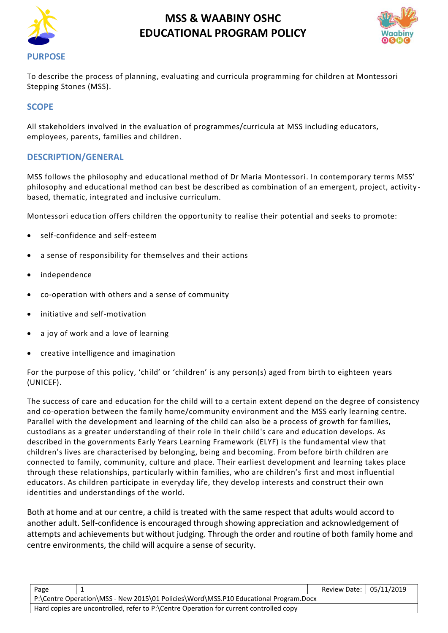



To describe the process of planning, evaluating and curricula programming for children at Montessori Stepping Stones (MSS).

### **SCOPE**

All stakeholders involved in the evaluation of programmes/curricula at MSS including educators, employees, parents, families and children.

### **DESCRIPTION/GENERAL**

MSS follows the philosophy and educational method of Dr Maria Montessori. In contemporary terms MSS' philosophy and educational method can best be described as combination of an emergent, project, activity based, thematic, integrated and inclusive curriculum.

Montessori education offers children the opportunity to realise their potential and seeks to promote:

- self-confidence and self-esteem
- a sense of responsibility for themselves and their actions
- independence
- co-operation with others and a sense of community
- initiative and self-motivation
- a joy of work and a love of learning
- creative intelligence and imagination

For the purpose of this policy, 'child' or 'children' is any person(s) aged from birth to eighteen years (UNICEF).

The success of care and education for the child will to a certain extent depend on the degree of consistency and co-operation between the family home/community environment and the MSS early learning centre. Parallel with the development and learning of the child can also be a process of growth for families, custodians as a greater understanding of their role in their child's care and education develops. As described in the governments Early Years Learning Framework (ELYF) is the fundamental view that children's lives are characterised by belonging, being and becoming. From before birth children are connected to family, community, culture and place. Their earliest development and learning takes place through these relationships, particularly within families, who are children's first and most influential educators. As children participate in everyday life, they develop interests and construct their own identities and understandings of the world.

Both at home and at our centre, a child is treated with the same respect that adults would accord to another adult. Self-confidence is encouraged through showing appreciation and acknowledgement of attempts and achievements but without judging. Through the order and routine of both family home and centre environments, the child will acquire a sense of security.

| Page                                                                                   |  | Review Date: 05/11/2019 |  |  |
|----------------------------------------------------------------------------------------|--|-------------------------|--|--|
| P:\Centre Operation\MSS - New 2015\01 Policies\Word\MSS.P10 Educational Program.Docx   |  |                         |  |  |
| Hard copies are uncontrolled, refer to P:\Centre Operation for current controlled copy |  |                         |  |  |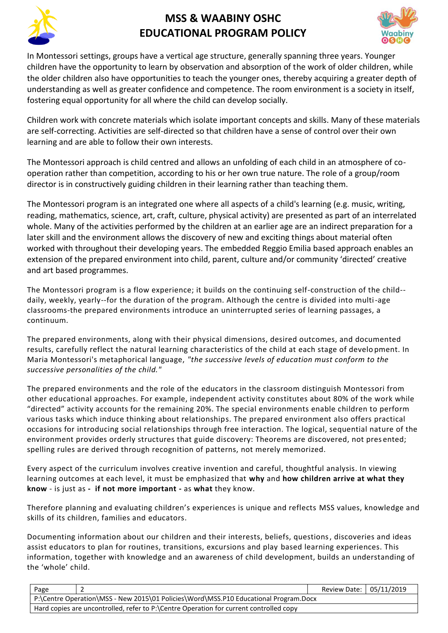



In Montessori settings, groups have a vertical age structure, generally spanning three years. Younger children have the opportunity to learn by observation and absorption of the work of older children, while the older children also have opportunities to teach the younger ones, thereby acquiring a greater depth of understanding as well as greater confidence and competence. The room environment is a society in itself, fostering equal opportunity for all where the child can develop socially.

Children work with concrete materials which isolate important concepts and skills. Many of these materials are self-correcting. Activities are self-directed so that children have a sense of control over their own learning and are able to follow their own interests.

The Montessori approach is child centred and allows an unfolding of each child in an atmosphere of cooperation rather than competition, according to his or her own true nature. The role of a group/room director is in constructively guiding children in their learning rather than teaching them.

The Montessori program is an integrated one where all aspects of a child's learning (e.g. music, writing, reading, mathematics, science, art, craft, culture, physical activity) are presented as part of an interrelated whole. Many of the activities performed by the children at an earlier age are an indirect preparation for a later skill and the environment allows the discovery of new and exciting things about material often worked with throughout their developing years. The embedded Reggio Emilia based approach enables an extension of the prepared environment into child, parent, culture and/or community 'directed' creative and art based programmes.

The Montessori program is a flow experience; it builds on the continuing self-construction of the child- daily, weekly, yearly--for the duration of the program. Although the centre is divided into multi-age classrooms-the prepared environments introduce an uninterrupted series of learning passages, a continuum.

The prepared environments, along with their physical dimensions, desired outcomes, and documented results, carefully reflect the natural learning characteristics of the child at each stage of develo pment. In Maria Montessori's metaphorical language, *"the successive levels of education must conform to the successive personalities of the child."*

The prepared environments and the role of the educators in the classroom distinguish Montessori from other educational approaches. For example, independent activity constitutes about 80% of the work while "directed" activity accounts for the remaining 20%. The special environments enable children to perform various tasks which induce thinking about relationships. The prepared environment also offers practical occasions for introducing social relationships through free interaction. The logical, sequential nature of the environment provides orderly structures that guide discovery: Theorems are discovered, not pres ented; spelling rules are derived through recognition of patterns, not merely memorized.

Every aspect of the curriculum involves creative invention and careful, thoughtful analysis. In viewing learning outcomes at each level, it must be emphasized that **why** and **how children arrive at what they know** - is just as **- if not more important -** as **what** they know.

Therefore planning and evaluating children's experiences is unique and reflects MSS values, knowledge and skills of its children, families and educators.

Documenting information about our children and their interests, beliefs, questions, discoveries and ideas assist educators to plan for routines, transitions, excursions and play based learning experiences. This information, together with knowledge and an awareness of child development, builds an understanding of the 'whole' child.

| Page |                                                                                        | Review Date: 05/11/2019 |  |  |  |
|------|----------------------------------------------------------------------------------------|-------------------------|--|--|--|
|      | P:\Centre Operation\MSS - New 2015\01 Policies\Word\MSS.P10 Educational Program.Docx   |                         |  |  |  |
|      | Hard copies are uncontrolled, refer to P:\Centre Operation for current controlled copy |                         |  |  |  |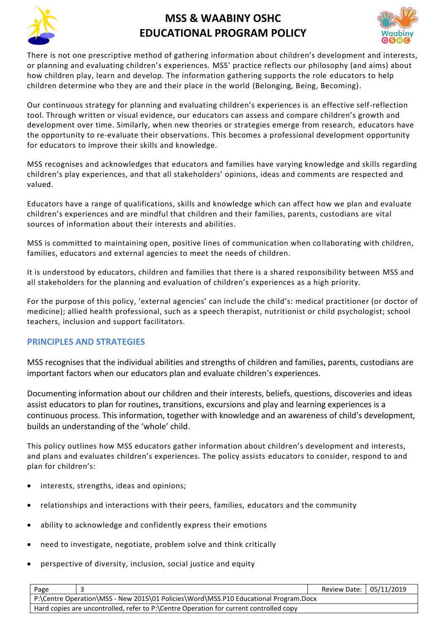



There is not one prescriptive method of gathering information about children's development and interests, or planning and evaluating children's experiences. MSS' practice reflects our philosophy (and aims) about how children play, learn and develop. The information gathering supports the role educators to help children determine who they are and their place in the world (Belonging, Being, Becoming).

Our continuous strategy for planning and evaluating children's experiences is an effective self-reflection tool. Through written or visual evidence, our educators can assess and compare children's growth and development over time. Similarly, when new theories or strategies emerge from research, educators have the opportunity to re-evaluate their observations. This becomes a professional development opportunity for educators to improve their skills and knowledge.

MSS recognises and acknowledges that educators and families have varying knowledge and skills regarding children's play experiences, and that all stakeholders' opinions, ideas and comments are respected and valued.

Educators have a range of qualifications, skills and knowledge which can affect how we plan and evaluate children's experiences and are mindful that children and their families, parents, custodians are vital sources of information about their interests and abilities.

MSS is committed to maintaining open, positive lines of communication when collaborating with children, families, educators and external agencies to meet the needs of children.

It is understood by educators, children and families that there is a shared responsibility between MSS and all stakeholders for the planning and evaluation of children's experiences as a high priority.

For the purpose of this policy, 'external agencies' can include the child's: medical practitioner (or doctor of medicine); allied health professional, such as a speech therapist, nutritionist or child psychologist; school teachers, inclusion and support facilitators.

### **PRINCIPLES AND STRATEGIES**

MSS recognises that the individual abilities and strengths of children and families, parents, custodians are important factors when our educators plan and evaluate children's experiences.

Documenting information about our children and their interests, beliefs, questions, discoveries and ideas assist educators to plan for routines, transitions, excursions and play and learning experiences is a continuous process. This information, together with knowledge and an awareness of child's development, builds an understanding of the 'whole' child.

This policy outlines how MSS educators gather information about children's development and interests, and plans and evaluates children's experiences. The policy assists educators to consider, respond to and plan for children's:

- interests, strengths, ideas and opinions;
- relationships and interactions with their peers, families, educators and the community
- ability to acknowledge and confidently express their emotions
- need to investigate, negotiate, problem solve and think critically
- perspective of diversity, inclusion, social justice and equity

| Page                                                                                   | Review Date: 05/11/2019 |  |
|----------------------------------------------------------------------------------------|-------------------------|--|
| P:\Centre Operation\MSS - New 2015\01 Policies\Word\MSS.P10 Educational Program.Docx   |                         |  |
| Hard copies are uncontrolled, refer to P:\Centre Operation for current controlled copy |                         |  |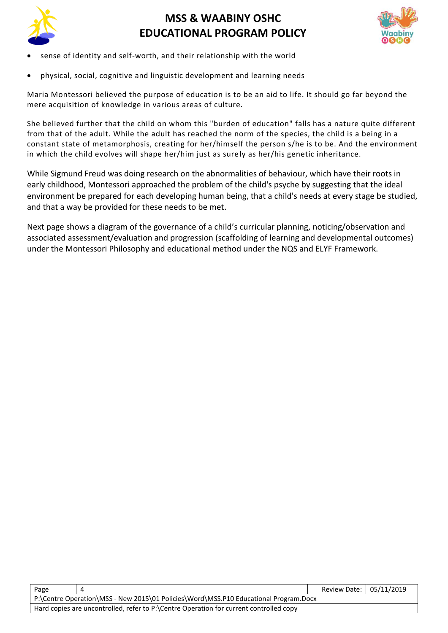



- sense of identity and self-worth, and their relationship with the world
- physical, social, cognitive and linguistic development and learning needs

Maria Montessori believed the purpose of education is to be an aid to life. It should go far beyond the mere acquisition of knowledge in various areas of culture.

She believed further that the child on whom this "burden of education" falls has a nature quite different from that of the adult. While the adult has reached the norm of the species, the child is a being in a constant state of metamorphosis, creating for her/himself the person s/he is to be. And the environment in which the child evolves will shape her/him just as surely as her/his genetic inheritance.

While Sigmund Freud was doing research on the abnormalities of behaviour, which have their roots in early childhood, Montessori approached the problem of the child's psyche by suggesting that the ideal environment be prepared for each developing human being, that a child's needs at every stage be studied, and that a way be provided for these needs to be met.

Next page shows a diagram of the governance of a child's curricular planning, noticing/observation and associated assessment/evaluation and progression (scaffolding of learning and developmental outcomes) under the Montessori Philosophy and educational method under the NQS and ELYF Framework.

| Page |                                                                                        |  | Review Date: 05/11/2019 |  |  |
|------|----------------------------------------------------------------------------------------|--|-------------------------|--|--|
|      | P:\Centre Operation\MSS - New 2015\01 Policies\Word\MSS.P10 Educational Program.Docx   |  |                         |  |  |
|      | Hard copies are uncontrolled, refer to P:\Centre Operation for current controlled copy |  |                         |  |  |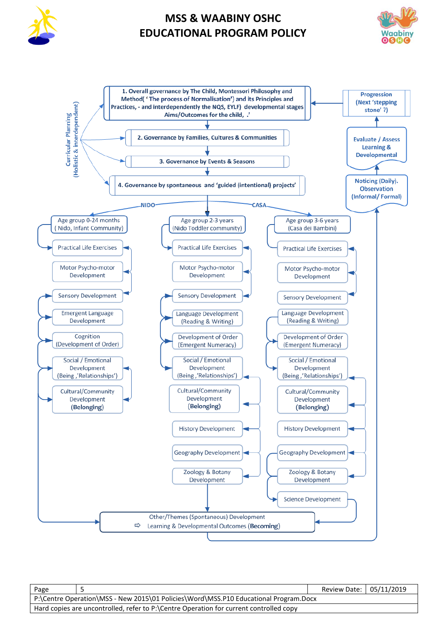





| Page                                                                                   |  | Review Date: 05/11/2019 |  |
|----------------------------------------------------------------------------------------|--|-------------------------|--|
| P:\Centre Operation\MSS - New 2015\01 Policies\Word\MSS.P10 Educational Program.Docx   |  |                         |  |
| Hard copies are uncontrolled, refer to P:\Centre Operation for current controlled copy |  |                         |  |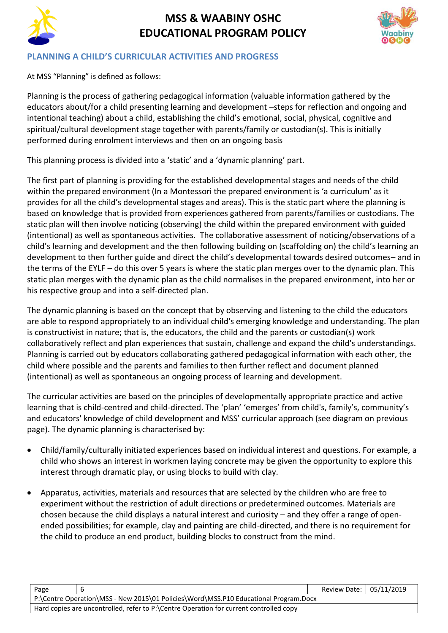



### **PLANNING A CHILD'S CURRICULAR ACTIVITIES AND PROGRESS**

At MSS "Planning" is defined as follows:

Planning is the process of gathering pedagogical information (valuable information gathered by the educators about/for a child presenting learning and development –steps for reflection and ongoing and intentional teaching) about a child, establishing the child's emotional, social, physical, cognitive and spiritual/cultural development stage together with parents/family or custodian(s). This is initially performed during enrolment interviews and then on an ongoing basis

This planning process is divided into a 'static' and a 'dynamic planning' part.

The first part of planning is providing for the established developmental stages and needs of the child within the prepared environment (In a Montessori the prepared environment is 'a curriculum' as it provides for all the child's developmental stages and areas). This is the static part where the planning is based on knowledge that is provided from experiences gathered from parents/families or custodians. The static plan will then involve noticing (observing) the child within the prepared environment with guided (intentional) as well as spontaneous activities. The collaborative assessment of noticing/observations of a child's learning and development and the then following building on (scaffolding on) the child's learning an development to then further guide and direct the child's developmental towards desired outcomes– and in the terms of the EYLF – do this over 5 years is where the static plan merges over to the dynamic plan. This static plan merges with the dynamic plan as the child normalises in the prepared environment, into her or his respective group and into a self-directed plan.

The dynamic planning is based on the concept that by observing and listening to the child the educators are able to respond appropriately to an individual child's emerging knowledge and understanding. The plan is constructivist in nature; that is, the educators, the child and the parents or custodian(s) work collaboratively reflect and plan experiences that sustain, challenge and expand the child's understandings. Planning is carried out by educators collaborating gathered pedagogical information with each other, the child where possible and the parents and families to then further reflect and document planned (intentional) as well as spontaneous an ongoing process of learning and development.

The curricular activities are based on the principles of developmentally appropriate practice and active learning that is child-centred and child-directed. The 'plan' 'emerges' from child's, family's, community's and educators' knowledge of child development and MSS' curricular approach (see diagram on previous page). The dynamic planning is characterised by:

- Child/family/culturally initiated experiences based on individual interest and questions. For example, a child who shows an interest in workmen laying concrete may be given the opportunity to explore this interest through dramatic play, or using blocks to build with clay.
- Apparatus, activities, materials and resources that are selected by the children who are free to experiment without the restriction of adult directions or predetermined outcomes. Materials are chosen because the child displays a natural interest and curiosity – and they offer a range of openended possibilities; for example, clay and painting are child-directed, and there is no requirement for the child to produce an end product, building blocks to construct from the mind.

| Page                                                                                   |  | Review Date: 05/11/2019 |  |  |
|----------------------------------------------------------------------------------------|--|-------------------------|--|--|
| P:\Centre Operation\MSS - New 2015\01 Policies\Word\MSS.P10 Educational Program.Docx   |  |                         |  |  |
| Hard copies are uncontrolled, refer to P:\Centre Operation for current controlled copy |  |                         |  |  |
|                                                                                        |  |                         |  |  |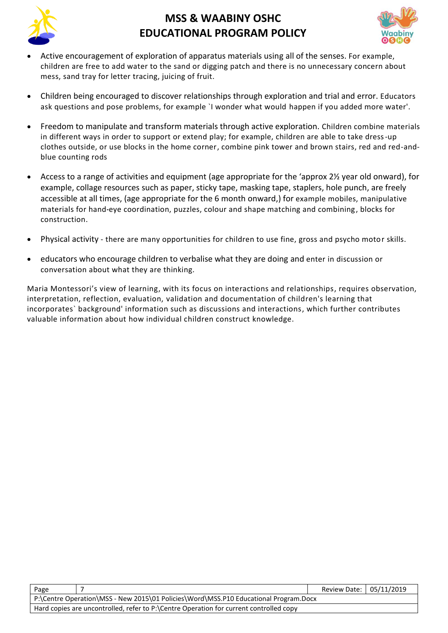



- Active encouragement of exploration of apparatus materials using all of the senses. For example, children are free to add water to the sand or digging patch and there is no unnecessary concern about mess, sand tray for letter tracing, juicing of fruit.
- Children being encouraged to discover relationships through exploration and trial and error. Educators ask questions and pose problems, for example `I wonder what would happen if you added more water'.
- Freedom to manipulate and transform materials through active exploration. Children combine materials in different ways in order to support or extend play; for example, children are able to take dress-up clothes outside, or use blocks in the home corner, combine pink tower and brown stairs, red and red-andblue counting rods
- Access to a range of activities and equipment (age appropriate for the 'approx 2½ year old onward), for example, collage resources such as paper, sticky tape, masking tape, staplers, hole punch, are freely accessible at all times, (age appropriate for the 6 month onward,) for example mobiles, manipulative materials for hand*-*eye coordination, puzzles, colour and shape matching and combining, blocks for construction.
- Physical activity there are many opportunities for children to use fine, gross and psycho motor skills.
- educators who encourage children to verbalise what they are doing and enter in discussion or conversation about what they are thinking.

Maria Montessori's view of learning, with its focus on interactions and relationships, requires observation, interpretation, reflection, evaluation, validation and documentation of children's learning that incorporates` background' information such as discussions and interactions, which further contributes valuable information about how individual children construct knowledge.

| Page                                                                                 |                                                                                        | Review Date: 05/11/2019 |  |
|--------------------------------------------------------------------------------------|----------------------------------------------------------------------------------------|-------------------------|--|
| P:\Centre Operation\MSS - New 2015\01 Policies\Word\MSS.P10 Educational Program.Docx |                                                                                        |                         |  |
|                                                                                      | Hard copies are uncontrolled, refer to P:\Centre Operation for current controlled copy |                         |  |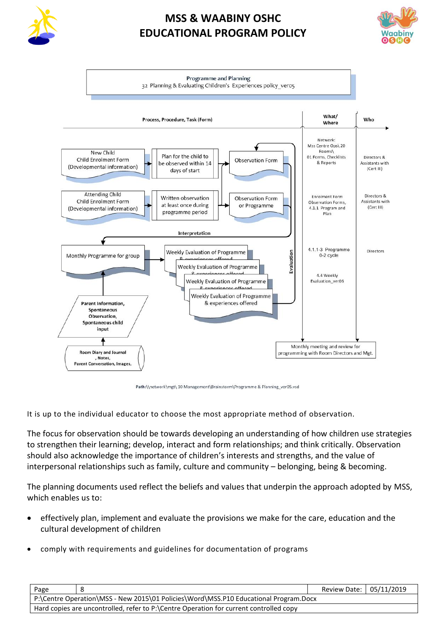





Path:\\network\mgt\ 10 Management\Brainstorm\Programme & Planning ver05.ysd

It is up to the individual educator to choose the most appropriate method of observation.

The focus for observation should be towards developing an understanding of how children use strategies to strengthen their learning; develop, interact and form relationships; and think critically. Observation should also acknowledge the importance of children's interests and strengths, and the value of interpersonal relationships such as family, culture and community – belonging, being & becoming.

The planning documents used reflect the beliefs and values that underpin the approach adopted by MSS, which enables us to:

- effectively plan, implement and evaluate the provisions we make for the care, education and the cultural development of children
- comply with requirements and guidelines for documentation of programs

| Page                                                                                   |  | Review Date: 05/11/2019 |  |  |
|----------------------------------------------------------------------------------------|--|-------------------------|--|--|
| P:\Centre Operation\MSS - New 2015\01 Policies\Word\MSS.P10 Educational Program.Docx   |  |                         |  |  |
| Hard copies are uncontrolled, refer to P:\Centre Operation for current controlled copy |  |                         |  |  |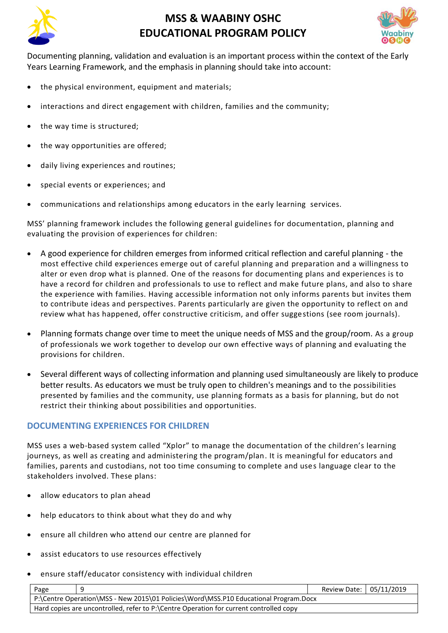



Documenting planning, validation and evaluation is an important process within the context of the Early Years Learning Framework, and the emphasis in planning should take into account:

- the physical environment, equipment and materials:
- interactions and direct engagement with children, families and the community;
- the way time is structured;
- the way opportunities are offered;
- daily living experiences and routines;
- special events or experiences; and
- communications and relationships among educators in the early learning services.

MSS' planning framework includes the following general guidelines for documentation, planning and evaluating the provision of experiences for children:

- A good experience for children emerges from informed critical reflection and careful planning the most effective child experiences emerge out of careful planning and preparation and a willingness to alter or even drop what is planned. One of the reasons for documenting plans and experiences is to have a record for children and professionals to use to reflect and make future plans, and also to share the experience with families. Having accessible information not only informs parents but invites them to contribute ideas and perspectives. Parents particularly are given the opportunity to reflect on and review what has happened, offer constructive criticism, and offer suggestions (see room journals).
- Planning formats change over time to meet the unique needs of MSS and the group/room. As a group of professionals we work together to develop our own effective ways of planning and evaluating the provisions for children.
- Several different ways of collecting information and planning used simultaneously are likely to produce better results. As educators we must be truly open to children's meanings and to the possibilities presented by families and the community, use planning formats as a basis for planning, but do not restrict their thinking about possibilities and opportunities.

### **DOCUMENTING EXPERIENCES FOR CHILDREN**

MSS uses a web-based system called "Xplor" to manage the documentation of the children's learning journeys, as well as creating and administering the program/plan. It is meaningful for educators and families, parents and custodians, not too time consuming to complete and uses language clear to the stakeholders involved. These plans:

- allow educators to plan ahead
- help educators to think about what they do and why
- ensure all children who attend our centre are planned for
- assist educators to use resources effectively
- ensure staff/educator consistency with individual children

| Page                                                                                 |                                                                                        | Review Date: 05/11/2019 |  |  |
|--------------------------------------------------------------------------------------|----------------------------------------------------------------------------------------|-------------------------|--|--|
| P:\Centre Operation\MSS - New 2015\01 Policies\Word\MSS.P10 Educational Program.Docx |                                                                                        |                         |  |  |
|                                                                                      | Hard copies are uncontrolled, refer to P:\Centre Operation for current controlled copy |                         |  |  |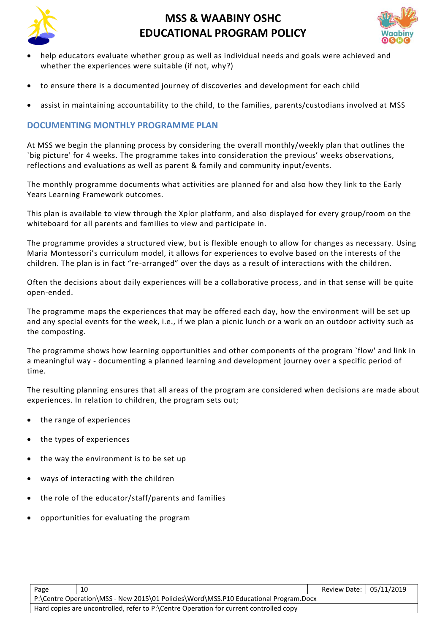



- help educators evaluate whether group as well as individual needs and goals were achieved and whether the experiences were suitable (if not, why?)
- to ensure there is a documented journey of discoveries and development for each child
- assist in maintaining accountability to the child, to the families, parents/custodians involved at MSS

### **DOCUMENTING MONTHLY PROGRAMME PLAN**

At MSS we begin the planning process by considering the overall monthly/weekly plan that outlines the `big picture' for 4 weeks. The programme takes into consideration the previous' weeks observations, reflections and evaluations as well as parent & family and community input/events.

The monthly programme documents what activities are planned for and also how they link to the Early Years Learning Framework outcomes.

This plan is available to view through the Xplor platform, and also displayed for every group/room on the whiteboard for all parents and families to view and participate in.

The programme provides a structured view, but is flexible enough to allow for changes as necessary. Using Maria Montessori's curriculum model, it allows for experiences to evolve based on the interests of the children. The plan is in fact "re-arranged" over the days as a result of interactions with the children.

Often the decisions about daily experiences will be a collaborative process, and in that sense will be quite open-ended.

The programme maps the experiences that may be offered each day, how the environment will be set up and any special events for the week, i.e., if we plan a picnic lunch or a work on an outdoor activity such as the composting.

The programme shows how learning opportunities and other components of the program `flow' and link in a meaningful way - documenting a planned learning and development journey over a specific period of time.

The resulting planning ensures that all areas of the program are considered when decisions are made about experiences. In relation to children, the program sets out;

- the range of experiences
- the types of experiences
- the way the environment is to be set up
- ways of interacting with the children
- the role of the educator/staff/parents and families
- opportunities for evaluating the program

| Page                                                                                   | 10 | Review Date: 05/11/2019 |  |  |
|----------------------------------------------------------------------------------------|----|-------------------------|--|--|
| P:\Centre Operation\MSS - New 2015\01 Policies\Word\MSS.P10 Educational Program.Docx   |    |                         |  |  |
| Hard copies are uncontrolled, refer to P:\Centre Operation for current controlled copy |    |                         |  |  |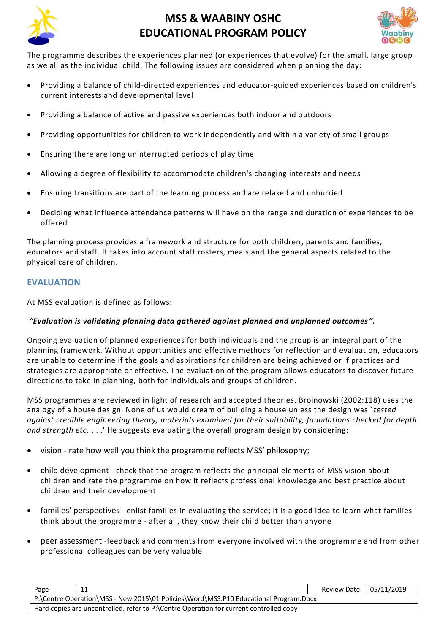



The programme describes the experiences planned (or experiences that evolve) for the small, large group as we all as the individual child. The following issues are considered when planning the day:

- Providing a balance of child-directed experiences and educator-guided experiences based on children's current interests and developmental level
- Providing a balance of active and passive experiences both indoor and outdoors
- Providing opportunities for children to work independently and within a variety of small grou ps
- Ensuring there are long uninterrupted periods of play time
- Allowing a degree of flexibility to accommodate children's changing interests and needs
- Ensuring transitions are part of the learning process and are relaxed and unhurried
- Deciding what influence attendance patterns will have on the range and duration of experiences to be offered

The planning process provides a framework and structure for both children, parents and families, educators and staff. It takes into account staff rosters, meals and the general aspects related to the physical care of children.

### **EVALUATION**

At MSS evaluation is defined as follows:

### *"Evaluation is validating planning data gathered against planned and unplanned outcomes ".*

Ongoing evaluation of planned experiences for both individuals and the group is an integral part of the planning framework. Without opportunities and effective methods for reflection and evaluation, educators are unable to determine if the goals and aspirations for children are being achieved or if practices and strategies are appropriate or effective. The evaluation of the program allows educators to discover future directions to take in planning, both for individuals and groups of children.

MSS programmes are reviewed in light of research and accepted theories. Broinowski (2002:118) uses the analogy of a house design. None of us would dream of building a house unless the design was `*tested against credible engineering theory, materials examined for their suitability, foundations checked for depth and strength etc.* . . .' He suggests evaluating the overall program design by considering:

- vision rate how well you think the programme reflects MSS' philosophy;
- child development check that the program reflects the principal elements of MSS vision about children and rate the programme on how it reflects professional knowledge and best practice about children and their development
- families' perspectives enlist families in evaluating the service; it is a good idea to learn what families think about the programme - after all, they know their child better than anyone
- peer assessment -feedback and comments from everyone involved with the programme and from other professional colleagues can be very valuable

| Page                                                                                   | 11 | Review Date: 05/11/2019 |  |  |
|----------------------------------------------------------------------------------------|----|-------------------------|--|--|
| P:\Centre Operation\MSS - New 2015\01 Policies\Word\MSS.P10 Educational Program.Docx   |    |                         |  |  |
| Hard copies are uncontrolled, refer to P:\Centre Operation for current controlled copy |    |                         |  |  |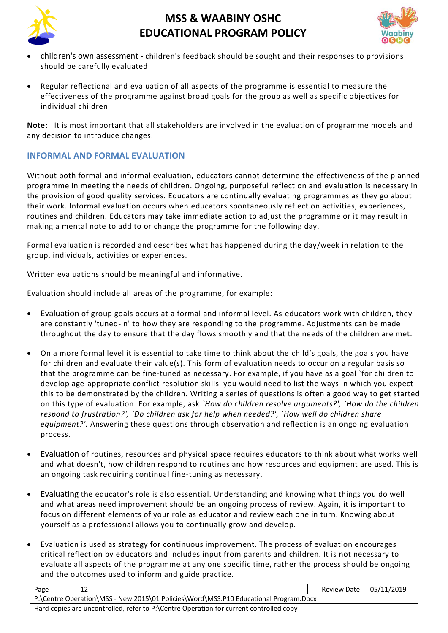



- children's own assessment children's feedback should be sought and their responses to provisions should be carefully evaluated
- Regular reflectional and evaluation of all aspects of the programme is essential to measure the effectiveness of the programme against broad goals for the group as well as specific objectives for individual children

**Note:** It is most important that all stakeholders are involved in the evaluation of programme models and any decision to introduce changes.

### **INFORMAL AND FORMAL EVALUATION**

Without both formal and informal evaluation, educators cannot determine the effectiveness of the planned programme in meeting the needs of children. Ongoing, purposeful reflection and evaluation is necessary in the provision of good quality services. Educators are continually evaluating programmes as they go about their work. Informal evaluation occurs when educators spontaneously reflect on activities, experiences, routines and children. Educators may take immediate action to adjust the programme or it may result in making a mental note to add to or change the programme for the following day.

Formal evaluation is recorded and describes what has happened during the day/week in relation to the group, individuals, activities or experiences.

Written evaluations should be meaningful and informative.

Evaluation should include all areas of the programme, for example:

- Evaluation of group goals occurs at a formal and informal level. As educators work with children, they are constantly 'tuned-in' to how they are responding to the programme. Adjustments can be made throughout the day to ensure that the day flows smoothly and that the needs of the children are met.
- On a more formal level it is essential to take time to think about the child's goals, the goals you have for children and evaluate their value(s). This form of evaluation needs to occur on a regular basis so that the programme can be fine-tuned as necessary. For example, if you have as a goal `for children to develop age-appropriate conflict resolution skills' you would need to list the ways in which you expect this to be demonstrated by the children. Writing a series of questions is often a good way to get started on this type of evaluation. For example, ask *`How do children resolve arguments?', `How do the children respond to frustration?', `Do children ask for help when needed?', `How well do children share equipment?'.* Answering these questions through observation and reflection is an ongoing evaluation process.
- Evaluation of routines, resources and physical space requires educators to think about what works well and what doesn't, how children respond to routines and how resources and equipment are used. This is an ongoing task requiring continual fine-tuning as necessary.
- Evaluating the educator's role is also essential. Understanding and knowing what things you do well and what areas need improvement should be an ongoing process of review. Again, it is important to focus on different elements of your role as educator and review each one in turn. Knowing about yourself as a professional allows you to continually grow and develop.
- Evaluation is used as strategy for continuous improvement. The process of evaluation encourages critical reflection by educators and includes input from parents and children. It is not necessary to evaluate all aspects of the programme at any one specific time, rather the process should be ongoing and the outcomes used to inform and guide practice.

| Page                                                                                 | -12                                                                                    | Review Date: 05/11/2019 |  |  |  |
|--------------------------------------------------------------------------------------|----------------------------------------------------------------------------------------|-------------------------|--|--|--|
| P:\Centre Operation\MSS - New 2015\01 Policies\Word\MSS.P10 Educational Program.Docx |                                                                                        |                         |  |  |  |
|                                                                                      | Hard copies are uncontrolled, refer to P:\Centre Operation for current controlled copy |                         |  |  |  |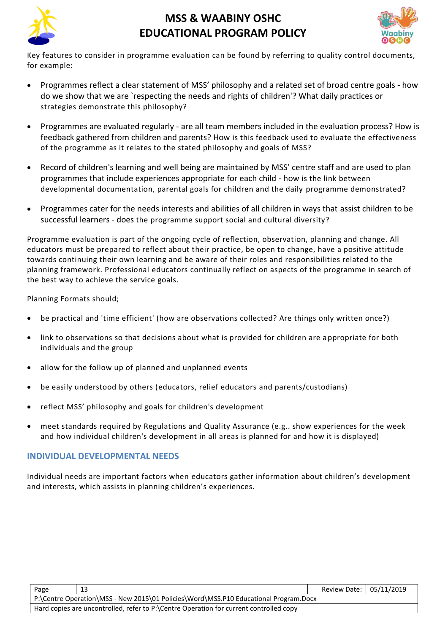



Key features to consider in programme evaluation can be found by referring to quality control documents, for example:

- Programmes reflect a clear statement of MSS' philosophy and a related set of broad centre goals how do we show that we are `respecting the needs and rights of children'? What daily practices or strategies demonstrate this philosophy?
- Programmes are evaluated regularly are all team members included in the evaluation process? How is feedback gathered from children and parents? How is this feedback used to evaluate the effectiveness of the programme as it relates to the stated philosophy and goals of MSS?
- Record of children's learning and well being are maintained by MSS' centre staff and are used to plan programmes that include experiences appropriate for each child - how is the link between developmental documentation, parental goals for children and the daily programme demonstrated?
- Programmes cater for the needs interests and abilities of all children in ways that assist children to be successful learners - does the programme support social and cultural diversity?

Programme evaluation is part of the ongoing cycle of reflection, observation, planning and change. All educators must be prepared to reflect about their practice, be open to change, have a positive attitude towards continuing their own learning and be aware of their roles and responsibilities related to the planning framework. Professional educators continually reflect on aspects of the programme in search of the best way to achieve the service goals.

Planning Formats should;

- be practical and 'time efficient' (how are observations collected? Are things only written once?)
- link to observations so that decisions about what is provided for children are appropriate for both individuals and the group
- allow for the follow up of planned and unplanned events
- be easily understood by others (educators, relief educators and parents/custodians)
- reflect MSS' philosophy and goals for children's development
- meet standards required by Regulations and Quality Assurance (e.g.. show experiences for the week and how individual children's development in all areas is planned for and how it is displayed)

### **INDIVIDUAL DEVELOPMENTAL NEEDS**

Individual needs are important factors when educators gather information about children's development and interests, which assists in planning children's experiences.

| Page                                                                                   | 13 | Review Date: 05/11/2019 |  |  |
|----------------------------------------------------------------------------------------|----|-------------------------|--|--|
| P:\Centre Operation\MSS - New 2015\01 Policies\Word\MSS.P10 Educational Program.Docx   |    |                         |  |  |
| Hard copies are uncontrolled, refer to P:\Centre Operation for current controlled copy |    |                         |  |  |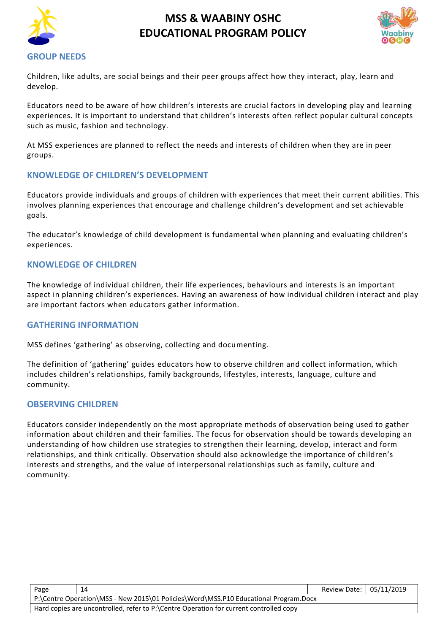



**GROUP NEEDS**

Children, like adults, are social beings and their peer groups affect how they interact, play, learn and develop.

Educators need to be aware of how children's interests are crucial factors in developing play and learning experiences. It is important to understand that children's interests often reflect popular cultural concepts such as music, fashion and technology.

At MSS experiences are planned to reflect the needs and interests of children when they are in peer groups.

### **KNOWLEDGE OF CHILDREN'S DEVELOPMENT**

Educators provide individuals and groups of children with experiences that meet their current abilities. This involves planning experiences that encourage and challenge children's development and set achievable goals.

The educator's knowledge of child development is fundamental when planning and evaluating children's experiences.

### **KNOWLEDGE OF CHILDREN**

The knowledge of individual children, their life experiences, behaviours and interests is an important aspect in planning children's experiences. Having an awareness of how individual children interact and play are important factors when educators gather information.

### **GATHERING INFORMATION**

MSS defines 'gathering' as observing, collecting and documenting.

The definition of 'gathering' guides educators how to observe children and collect information, which includes children's relationships, family backgrounds, lifestyles, interests, language, culture and community.

#### **OBSERVING CHILDREN**

Educators consider independently on the most appropriate methods of observation being used to gather information about children and their families. The focus for observation should be towards developing an understanding of how children use strategies to strengthen their learning, develop, interact and form relationships, and think critically. Observation should also acknowledge the importance of children's interests and strengths, and the value of interpersonal relationships such as family, culture and community.

| Page                                                                                   | 14 | Review Date: 05/11/2019 |  |  |
|----------------------------------------------------------------------------------------|----|-------------------------|--|--|
| P:\Centre Operation\MSS - New 2015\01 Policies\Word\MSS.P10 Educational Program.Docx   |    |                         |  |  |
| Hard copies are uncontrolled, refer to P:\Centre Operation for current controlled copy |    |                         |  |  |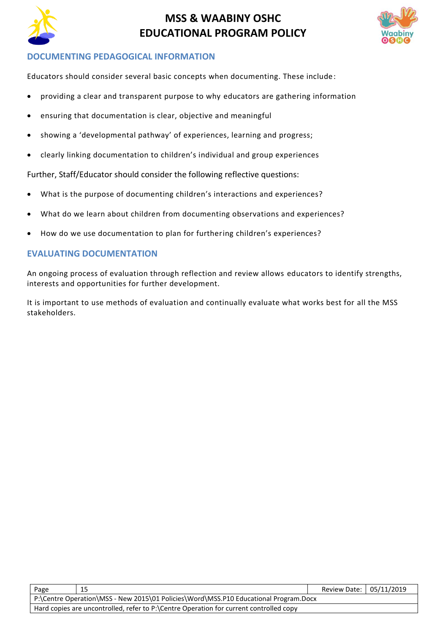



### **DOCUMENTING PEDAGOGICAL INFORMATION**

Educators should consider several basic concepts when documenting. These include:

- providing a clear and transparent purpose to why educators are gathering information
- ensuring that documentation is clear, objective and meaningful
- showing a 'developmental pathway' of experiences, learning and progress;
- clearly linking documentation to children's individual and group experiences

Further, Staff/Educator should consider the following reflective questions:

- What is the purpose of documenting children's interactions and experiences?
- What do we learn about children from documenting observations and experiences?
- How do we use documentation to plan for furthering children's experiences?

#### **EVALUATING DOCUMENTATION**

An ongoing process of evaluation through reflection and review allows educators to identify strengths, interests and opportunities for further development.

It is important to use methods of evaluation and continually evaluate what works best for all the MSS stakeholders.

| Page                                                                                   | 15 | Review Date: 05/11/2019 |  |  |  |
|----------------------------------------------------------------------------------------|----|-------------------------|--|--|--|
| P:\Centre Operation\MSS - New 2015\01 Policies\Word\MSS.P10 Educational Program.Docx   |    |                         |  |  |  |
| Hard copies are uncontrolled, refer to P:\Centre Operation for current controlled copy |    |                         |  |  |  |